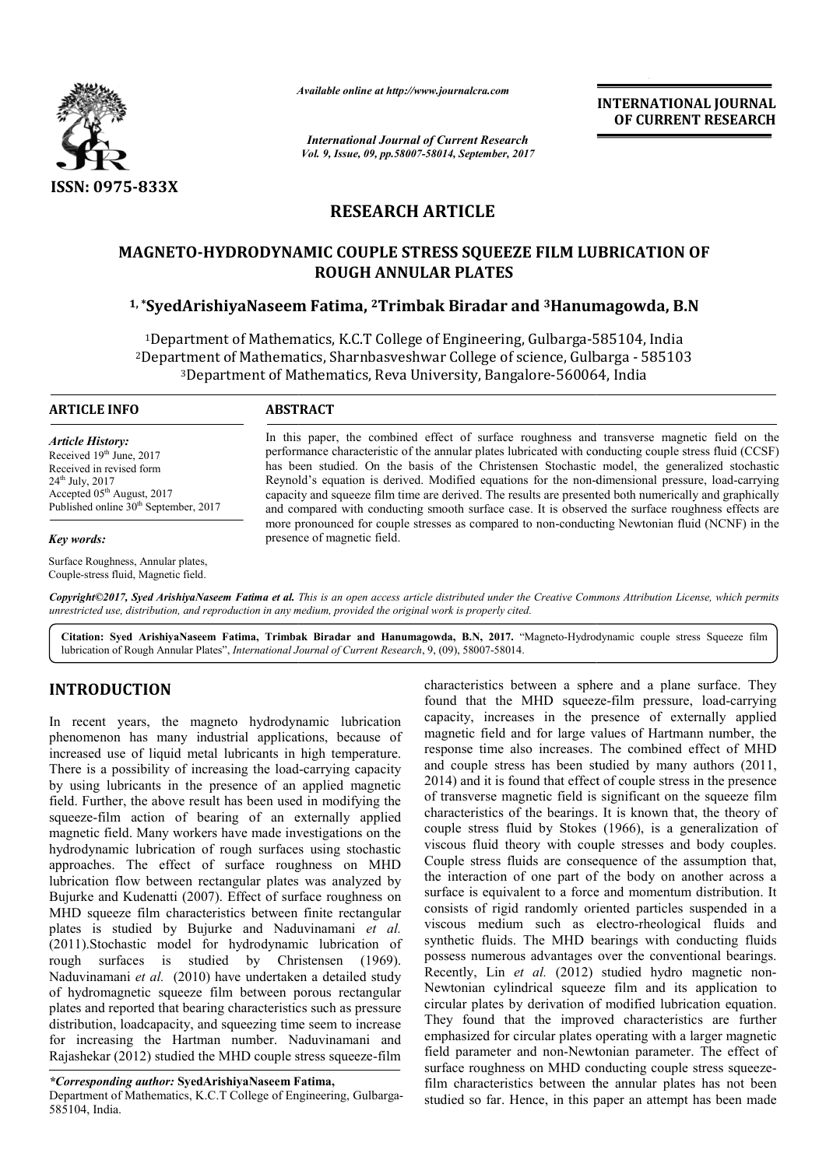

*Available online at http://www.journal http://www.journalcra.com*

*International Journal of Current Research Vol. 9, Issue, 09, pp.58007-58014, September, 2017* **INTERNATIONAL JOURNAL OF CURRENT RESEARCH** 

# **RESEARCH ARTICLE**

# **MAGNETO-HYDRODYNAMIC COUPLE STRESS SQUEEZE FILM LUBRICATION OF HYDRODYNAMIC ROUGH ANNULAR PLATES** IAGNETO-HYDRODYNAMIC COUPLE STRESS SQUEEZE FILM LUBRICATION O<br>ROUGH ANNULAR PLATES<br><sup>1,</sup>\*SyedArishiyaNaseem Fatima, <sup>2</sup>Trimbak Biradar and <sup>3</sup>Hanumagowda, B.N

<sup>1</sup>Department of Mathematics, K.C.T College of Engineering, Gulbarga-585104, India <sup>1</sup>Department of Mathematics, K.C.T College of Engineering, Gulbarga-585104, India<br><sup>2</sup>Department of Mathematics, Sharnbasveshwar College of science, Gulbarga - 585103 Department of Mathematics, Sharnbasveshwar College of science, Gulbarga - 5<br><sup>3</sup>Department of Mathematics, Reva University, Bangalore-560064, India

# **ARTICLE INFO ABSTRACT**

*Article History:* Received 19<sup>th</sup> June, 2017 Received in revised form 24th July, 2017 Accepted 05<sup>th</sup> August, 2017 Published online  $30<sup>th</sup>$  September, 2017

### *Key words:*

Surface Roughness, Annular plates, Couple-stress fluid, Magnetic field.

In this paper, the combined effect of surface roughness and transverse magnetic field on the performance characteristic of the annular plates lubricated with conducting couple stress fluid (CCSF) In this paper, the combined effect of surface roughness and transverse magnetic field on the performance characteristic of the annular plates lubricated with conducting couple stress fluid (CCSF) has been studied. On the b Reynold's equation is derived. Modified equations for the non-dimensional pressure, load-carrying capacity and squeeze film time are derived. The results are presented both numerically and graphically and compared with conducting smooth surface case. It is observed the surface roughness effects are capacity and squeeze film time are derived. The results are presented both numerically and graphically and compared with conducting smooth surface case. It is observed the surface roughness effects are more pronounced for presence of magnetic field.

Copyright©2017, Syed ArishiyaNaseem Fatima et al. This is an open access article distributed under the Creative Commons Attribution License, which permits *unrestricted use, distribution, and reproduction in any medium, provided the original work is properly cited.*

Citation: Syed ArishiyaNaseem Fatima, Trimbak Biradar and Hanumagowda, B.N, 2017. "Magneto-Hydrodynamic couple stress Squeeze film lubrication of Rough Annular Plates", *International Journal of Current Research* , 9, (09), 58007-58014.

# **INTRODUCTION**

In recent years, the magneto hydrodynamic lubrication phenomenon has many industrial applications, because of increased use of liquid metal lubricants in high temperature. There is a possibility of increasing the load-carrying capacity by using lubricants in the presence of an applied magnetic field. Further, the above result has been used in modifying the squeeze-film action of bearing of an externally applied magnetic field. Many workers have made investigations on the hydrodynamic lubrication of rough surfaces using stochastic approaches. The effect of surface roughness on MHD lubrication flow between rectangular plates was analyzed by Bujurke and Kudenatti (2007). Effect of surface roughness on MHD squeeze film characteristics between finite rectangular plates is studied by Bujurke and Naduvinamani et al. (2011).Stochastic model for hydrodynamic lubrication of Stochastic rough surfaces is studied by Christensen (1969). Naduvinamani *et al.* (2010) have undertaken a detailed study of hydromagnetic squeeze film between porous rectangular plates and reported that bearing characteristics such as pressure distribution, loadcapacity, and squeezing time seem to increase for increasing the Hartman number. Naduvinamani and Rajashekar (2012) studied the MHD couple stress squeeze eld. Further, the above result has been used in modifying the queeze-film action of bearing of an externally applied nagnetic field. Many workers have made investigations on the ydrodynamic lubrication of rough surfaces us hat bearing characteristics such as pressure<br>acity, and squeezing time seem to increase<br>Hartman number. Naduvinamani and<br>tudied the MHD couple stress squeeze-film

*\*Corresponding author:* **SyedArishiyaNaseem Fatima, hiyaNaseem** 

Department of Mathematics, K.C.T College of Engineering, Gulbarga-585104, India.

characteristics between a sphere and a plane surface. They characteristics between a sphere and a plane surface. They found that the MHD squeeze-film pressure, load-carrying capacity, increases in the presence of externally applied magnetic field and for large values of Hartmann number, the magnetic field and for large values of Hartmann number, the response time also increases. The combined effect of MHD and couple stress has been studied by many authors (2011, and couple stress has been studied by many authors (2011, 2014) and it is found that effect of couple stress in the presence of transverse magnetic field is significant on the squeeze film of transverse magnetic field is significant on the squeeze film characteristics of the bearings. It is known that, the theory of couple stress fluid by Stokes (1966), is a generalization of couple stress fluid by Stokes (1966), is a generalization of viscous fluid theory with couple stresses and body couples. Couple stress fluids are consequence of the assumption that, Couple stress fluids are consequence of the assumption that, the interaction of one part of the body on another across a surface is equivalent to a force and momentum distribution. It consists of rigid randomly oriented particles suspended in a consists of rigid randomly oriented particles suspended in a viscous medium such as electro-rheological fluids and synthetic fluids. The MHD bearings with conducting fluids synthetic fluids. The MHD bearings with conducting fluids possess numerous advantages over the conventional bearings. Recently, Lin et al. (2012) studied hydro magnetic non-Newtonian cylindrical squeeze film and its application to circular plates by derivation of modified lubrication equation. Newtonian cylindrical squeeze film and its application to circular plates by derivation of modified lubrication equation.<br>They found that the improved characteristics are further emphasized for circular plates operating with a larger magnetic field parameter and non-Newtonian parameter. The effect of surface roughness on MHD conducting couple stress squeezefilm characteristics between the annular plates has not been studied so far. Hence, in this paper an attempt has been made INTERNATIONAL JOURNAL<br>
Concert and the control of CURRENT RESEARCH<br>
The control of CURRENT RESEARCH<br>
The control of CURRENT RESEARCH<br>
The control of CURRENT RESEARCH<br>
EFECT ET ILM LUBRICATION OF<br>
TES<br>
The control of the co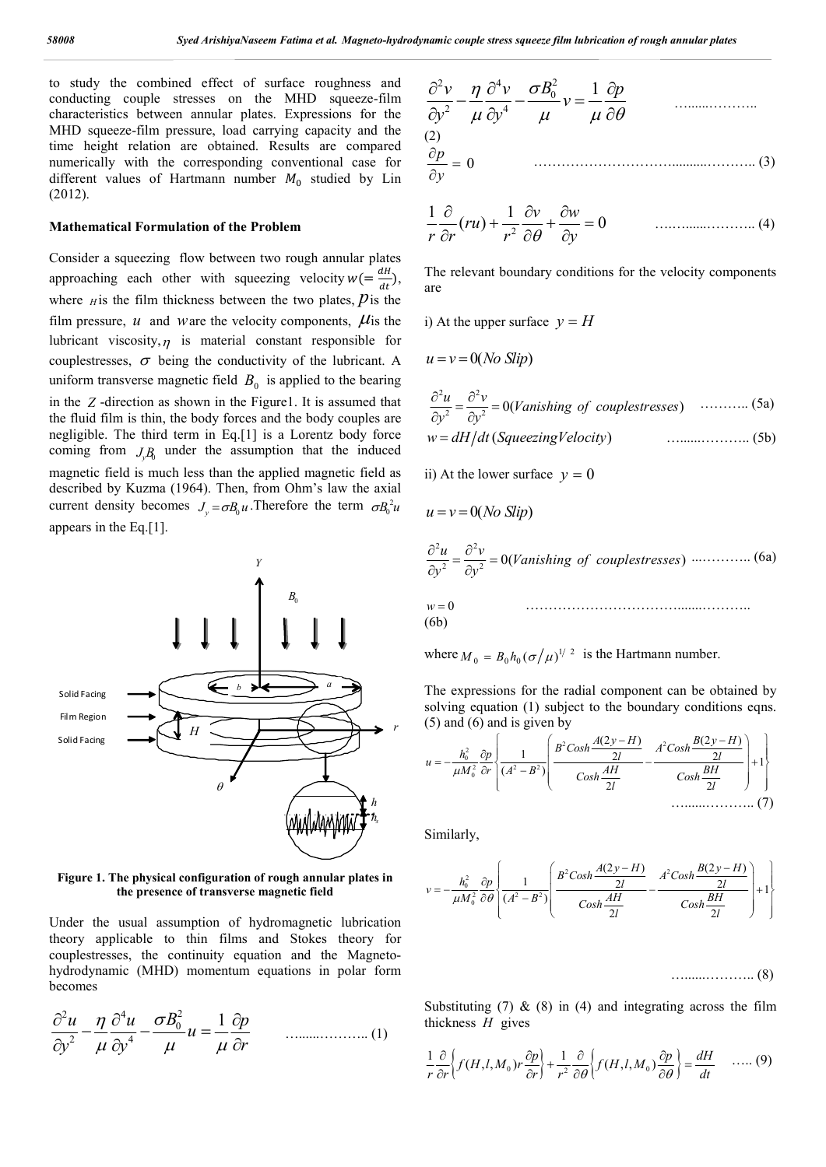to study the combined effect of surface roughness and conducting couple stresses on the MHD squeeze-film characteristics between annular plates. Expressions for the MHD squeeze-film pressure, load carrying capacity and the time height relation are obtained. Results are compared numerically with the corresponding conventional case for different values of Hartmann number  $M_0$  studied by Lin (2012).

### **Mathematical Formulation of the Problem**

Consider a squeezing flow between two rough annular plates approaching each other with squeezing velocity  $w = \frac{dH}{dt}$ ), where  $H$  is the film thickness between the two plates,  $\hat{p}$  is the film pressure,  $u$  and ware the velocity components,  $\mu$  is the lubricant viscosity,  $\eta$  is material constant responsible for couplestresses,  $\sigma$  being the conductivity of the lubricant. A uniform transverse magnetic field  $B_0$  is applied to the bearing in the *Z* -direction as shown in the Figure1. It is assumed that the fluid film is thin, the body forces and the body couples are negligible. The third term in Eq.[1] is a Lorentz body force coming from  $J_y B$  under the assumption that the induced magnetic field is much less than the applied magnetic field as described by Kuzma (1964). Then, from Ohm's law the axial current density becomes  $J_v = \sigma B_0 u$ . Therefore the term  $\sigma B_0^2 u$ appears in the Eq.[1].



**Figure 1. The physical configuration of rough annular plates in the presence of transverse magnetic field**

Under the usual assumption of hydromagnetic lubrication theory applicable to thin films and Stokes theory for couplestresses, the continuity equation and the Magnetohydrodynamic (MHD) momentum equations in polar form becomes

$$
\frac{\partial^2 u}{\partial y^2} - \frac{\eta}{\mu} \frac{\partial^4 u}{\partial y^4} - \frac{\sigma B_0^2}{\mu} u = \frac{1}{\mu} \frac{\partial p}{\partial r}
$$
 ....... (1)

$$
\frac{\partial^2 v}{\partial y^2} - \frac{\eta}{\mu} \frac{\partial^4 v}{\partial y^4} - \frac{\sigma B_0^2}{\mu} v = \frac{1}{\mu} \frac{\partial p}{\partial \theta}
$$
\n(2)\n
$$
\frac{\partial p}{\partial y} = 0
$$
\n(3)

$$
\frac{1}{r}\frac{\partial}{\partial r}(ru) + \frac{1}{r^2}\frac{\partial v}{\partial \theta} + \frac{\partial w}{\partial y} = 0 \qquad \qquad \dots \dots \dots \dots \dots \dots \dots \tag{4}
$$

The relevant boundary conditions for the velocity components are

i) At the upper surface  $y = H$ 

$$
u = v = 0(No \, \text{Slip})
$$

$$
\frac{\partial^2 u}{\partial y^2} = \frac{\partial^2 v}{\partial y^2} = 0
$$
(Vanishing of couplestresses) ......... (5a)  

$$
w = dH/dt
$$
(Squeezing Velocity) .........(5b)

ii) At the lower surface  $v = 0$ 

$$
u = v = 0(No \, Slip)
$$

$$
\frac{\partial^2 u}{\partial y^2} = \frac{\partial^2 v}{\partial y^2} = 0
$$
(Vanishing of couplestresses) ......... (6a)

$$
w = 0
$$
\n
$$
(6b)
$$

where  $M_0 = B_0 h_0 (\sigma / \mu)^{1/2}$  is the Hartmann number.

The expressions for the radial component can be obtained by solving equation (1) subject to the boundary conditions eqns. (5) and (6) and is given by

$$
u = -\frac{h_0^2}{\mu M_0^2} \frac{\partial p}{\partial r} \left\{ \frac{1}{(A^2 - B^2)} \left( \frac{B^2 \cosh \frac{A(2y - H)}{2l}}{\cosh \frac{AH}{2l}} - \frac{A^2 \cosh \frac{B(2y - H)}{2l}}{\cosh \frac{BH}{2l}} \right) + 1 \right\}
$$
.................(7)

Similarly,

$$
v = -\frac{h_0^2}{\mu M_0^2} \frac{\partial p}{\partial \theta} \left\{ \frac{1}{(A^2 - B^2)} \left( \frac{B^2 \text{Cosh} \frac{A(2y - H)}{2l}}{\text{Cosh} \frac{AH}{2l}} - \frac{A^2 \text{Cosh} \frac{B(2y - H)}{2l}}{\text{Cosh} \frac{BH}{2l}} \right) + 1 \right\}
$$

…......……….. (8)

Substituting (7)  $\&$  (8) in (4) and integrating across the film thickness *H* gives

$$
\frac{1}{r}\frac{\partial}{\partial r}\left\{f(H, l, M_0)r\frac{\partial p}{\partial r}\right\} + \frac{1}{r^2}\frac{\partial}{\partial \theta}\left\{f(H, l, M_0)\frac{\partial p}{\partial \theta}\right\} = \frac{dH}{dt} \quad \dots (9)
$$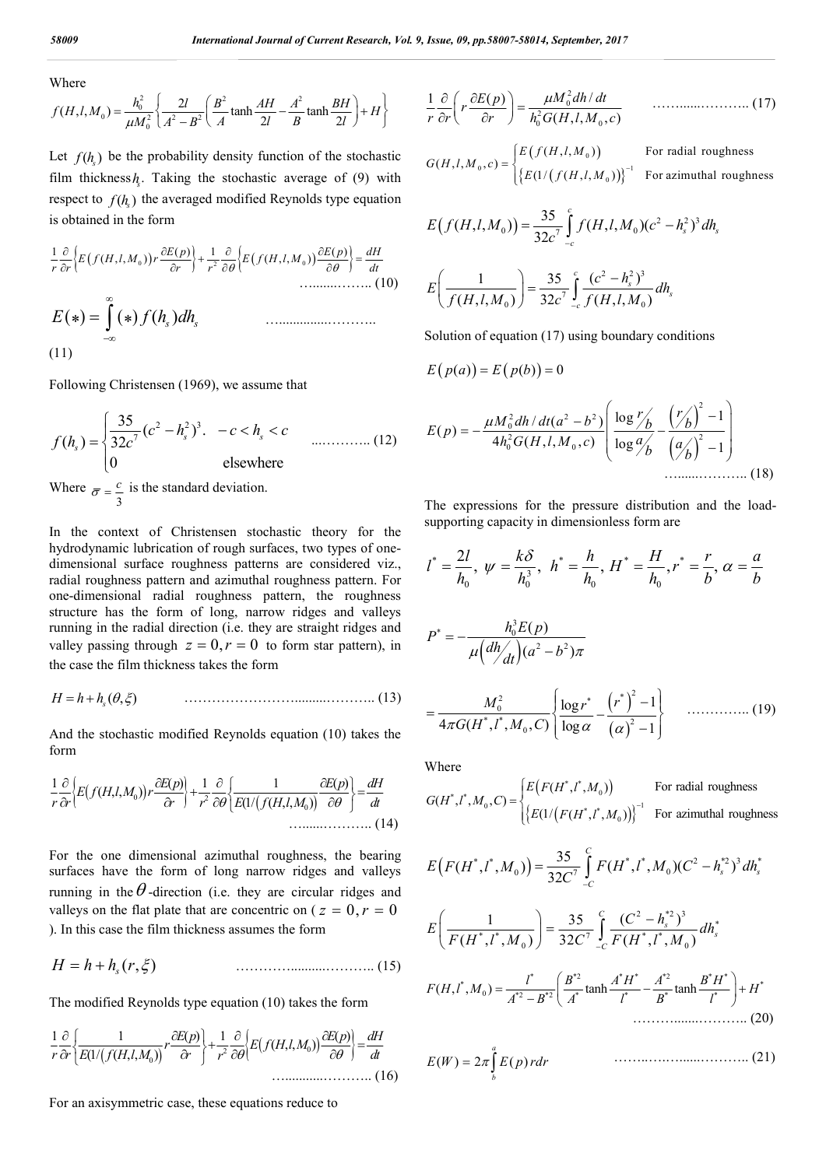Where

$$
f(H, l, M_0) = \frac{h_0^2}{\mu M_0^2} \left\{ \frac{2l}{A^2 - B^2} \left( \frac{B^2}{A} \tanh \frac{AH}{2l} - \frac{A^2}{B} \tanh \frac{BH}{2l} \right) + H \right\}
$$

Let  $f(h)$  be the probability density function of the stochastic film thickness  $h_k$ . Taking the stochastic average of (9) with respect to  $f(h_k)$  the averaged modified Reynolds type equation is obtained in the form

$$
\frac{1}{r}\frac{\partial}{\partial r}\Big\{E\big(f(H,l,M_0)\big)r\frac{\partial E(p)}{\partial r}\Big\} + \frac{1}{r^2}\frac{\partial}{\partial \theta}\Big\{E\big(f(H,l,M_0)\big)\frac{\partial E(p)}{\partial \theta}\Big\} = \frac{dH}{dt}
$$
\n
$$
\dots
$$
\n
$$
E(*) = \int_{-\infty}^{\infty} (*) f(h_s) dh_s
$$
\n
$$
(11)
$$

Following Christensen (1969), we assume that

$$
f(h_s) = \begin{cases} \frac{35}{32c^7}(c^2 - h_s^2)^3 & -c < h_s < c \\ 0 & \text{elsewhere} \end{cases}
$$
 ....... (12)

Where  $\bar{\sigma} = \frac{c}{3}$  is the standard deviation.

In the context of Christensen stochastic theory for the hydrodynamic lubrication of rough surfaces, two types of onedimensional surface roughness patterns are considered viz., radial roughness pattern and azimuthal roughness pattern. For one-dimensional radial roughness pattern, the roughness structure has the form of long, narrow ridges and valleys running in the radial direction (i.e. they are straight ridges and valley passing through  $z = 0, r = 0$  to form star pattern), in the case the film thickness takes the form

$$
H = h + hs(\theta, \xi)
$$
 (13)

And the stochastic modified Reynolds equation (10) takes the form

$$
\frac{1}{r}\frac{\partial}{\partial r}\bigg\{E\big(f(H,l,M_0)\big)r\frac{\partial E(p)}{\partial r}\bigg\} + \frac{1}{r^2}\frac{\partial}{\partial \theta}\bigg\{\frac{1}{E\big(\frac{1}{f(H,l,M_0)}\big)}\frac{\partial E(p)}{\partial \theta}\bigg\} = \frac{dH}{dt}
$$
\n
$$
\dots
$$
\n(14)

For the one dimensional azimuthal roughness, the bearing surfaces have the form of long narrow ridges and valleys running in the  $\theta$ -direction (i.e. they are circular ridges and valleys on the flat plate that are concentric on ( $z = 0, r = 0$ ) ). In this case the film thickness assumes the form

$$
H = h + hs(r, \xi)
$$
 (15)

The modified Reynolds type equation (10) takes the form

 <sup>2</sup> <sup>0</sup> <sup>0</sup> 1 1 ( ) 1 ( ) ( , , ) (1/ ( , , ) *E p E p dH r E f H l M r r E f H l M r dt <sup>r</sup>* …...........……….. (16)

For an axisymmetric case, these equations reduce to

$$
\frac{1}{r}\frac{\partial}{\partial r}\left(r\frac{\partial E(p)}{\partial r}\right) = \frac{\mu M_0^2 dh/dt}{h_0^2 G(H, l, M_0, c)} \qquad \dots \dots \dots \dots \dots \dots \dots \tag{17}
$$

$$
G(H, l, M_0, c) = \begin{cases} E(f(H, l, M_0)) & \text{For radial roughness} \\ \{ E(1/(f(H, l, M_0))) \}^{-1} & \text{For azimuthal roughness} \end{cases}
$$

$$
E(f(H, l, M_0)) = \frac{35}{32c^7} \int_{-c}^{c} f(H, l, M_0)(c^2 - h_s^2)^3 dh_s
$$
  

$$
E\left(\frac{1}{f(H, l, M_0)}\right) = \frac{35}{32c^7} \int_{-c}^{c} \frac{(c^2 - h_s^2)^3}{f(H, l, M_0)} dh_s
$$

Solution of equation (17) using boundary conditions

$$
E(p(a)) = E(p(b)) = 0
$$

$$
E(p) = -\frac{\mu M_0^2 dh/dt (a^2 - b^2)}{4h_0^2 G(H, l, M_0, c)} \left( \frac{\log r'_b}{\log q'_b} - \frac{\left(\frac{r'_b}{b}\right)^2 - 1}{\left(\frac{a'_b}{b}\right)^2 - 1} \right)
$$
\n
$$
\dots \dots \dots \dots \dots \dots \dots \dots \dots \tag{18}
$$

The expressions for the pressure distribution and the loadsupporting capacity in dimensionless form are

$$
l^* = \frac{2l}{h_0}, \ \psi = \frac{k\delta}{h_0^3}, \ \ h^* = \frac{h}{h_0}, \ H^* = \frac{H}{h_0}, r^* = \frac{r}{b}, \ \alpha = \frac{a}{b}
$$
\n
$$
P^* = -\frac{h_0^3 E(p)}{\mu \left(\frac{dh}{dt}\right) (a^2 - b^2) \pi}
$$
\n
$$
= \frac{M_0^2}{4\pi G (H^*, l^*, M_0, C)} \left\{ \frac{\log r^*}{\log \alpha} - \frac{(r^*)^2 - 1}{(\alpha)^2 - 1} \right\} \quad \dots \dots \dots \dots \tag{19}
$$

\*,  $l^*, M_0, C)$   $\overline{\log \alpha}$   $\overline{(\alpha)}^2$ 

 $4\pi G(H^*, l^*, M_0, C) \big| \log \alpha \quad (\alpha)^2 - 1$ 

Where

$$
G(H^*, l^*, M_0, C) = \begin{cases} E\big(F(H^*, l^*, M_0)\big) & \text{For radial roughness} \\ \big\{E(1/\big(F(H^*, l^*, M_0)\big)\big\}^{-1} & \text{For azimuthal roughness} \end{cases}
$$

 $(\alpha)$ 

 $\begin{bmatrix} \log \alpha & (\alpha)^2 -1 \end{bmatrix}$ 

$$
E(F(H^*, l^*, M_0)) = \frac{35}{32C^7} \int_{-C}^{C} F(H^*, l^*, M_0)(C^2 - h_s^{*2})^3 dh_s^*
$$

$$
E\left(\frac{1}{F(H^*,l^*,M_0)}\right) = \frac{35}{32C^7} \int_{-C}^{C} \frac{(C^2 - h_s^{*2})^3}{F(H^*,l^*,M_0)} dh_s^*
$$

\* \*2 \* \* \*2 \* \* \* \* <sup>0</sup> \*2 \*2 \* \* \* \* ( , , ) tanh tanh *l B A H A B H F H l M H A B A l B l* ……….......……….. (20)

$$
E(W) = 2\pi \int_{b}^{a} E(p) r dr \qquad \qquad \dots \dots \dots \dots \dots \dots \dots \dots \dots \dots \dots \dots \tag{21}
$$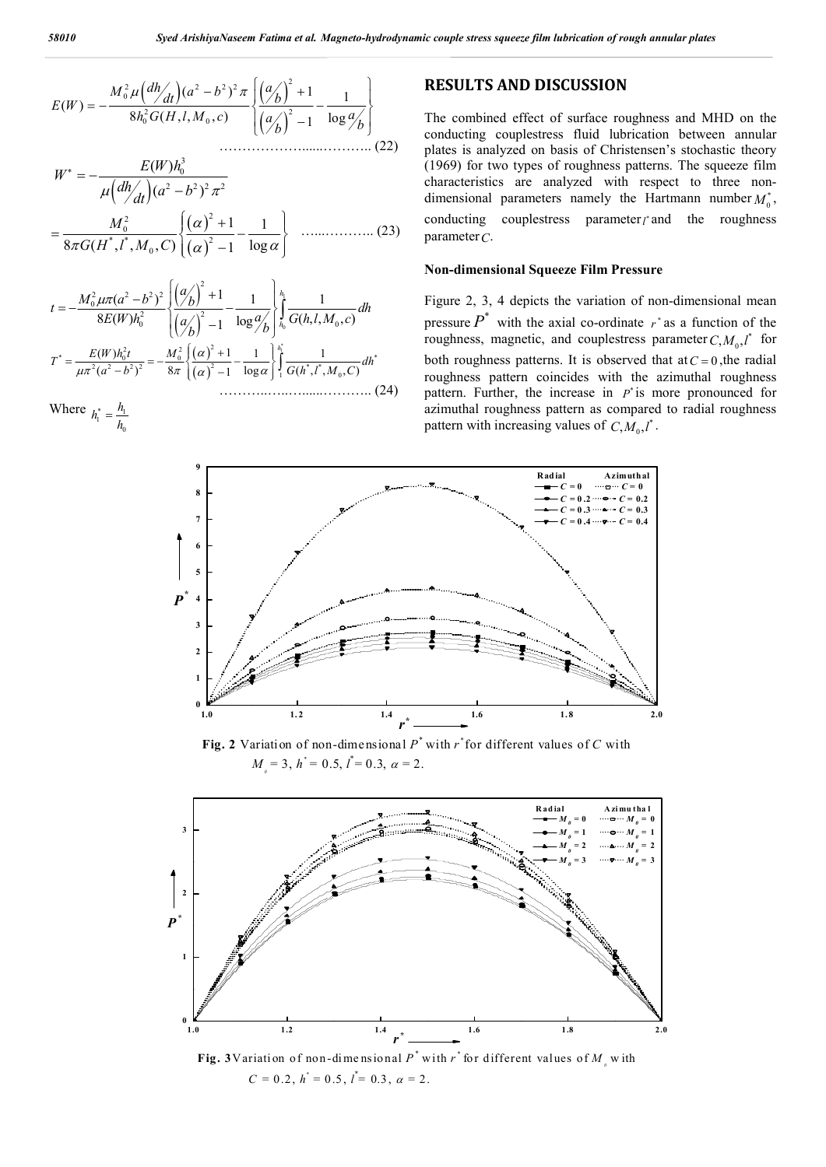<sup>2</sup> 2 2 2 2 0 2 2 0 0 ( ) 1 <sup>1</sup> ( ) 8 ( , , , ) log <sup>1</sup> *M a b dh a dt b E W h G H l M c <sup>a</sup> <sup>a</sup> <sup>b</sup> <sup>b</sup>* ………………......……….. (22)

$$
W^* = -\frac{E(W)h_0^3}{\mu \left(\frac{dh}{dt}\right)(a^2 - b^2)^2 \pi^2}
$$
  
= 
$$
\frac{M_0^2}{8\pi G(H^*, l^*, M_0, C)} \left\{ \frac{(\alpha)^2 + 1}{(\alpha)^2 - 1} - \frac{1}{\log \alpha} \right\}
$$
............ (23)

$$
t = -\frac{M_0^2 \mu \pi (a^2 - b^2)^2}{8E(W)h_0^2} \left\{ \frac{\left(\frac{a}{b}\right)^2 + 1}{\left(\frac{a}{b}\right)^2 - 1} - \frac{1}{\log a} \right\} \int_{h_0}^{h_1} \frac{1}{G(h, l, M_0, c)} dh
$$
  

$$
T^* = \frac{E(W)h_0^2 t}{\mu \pi^2 (a^2 - b^2)^2} = -\frac{M_0^2}{8\pi} \left\{ \frac{\left(\frac{\alpha}{b}\right)^2 + 1}{\left(\frac{\alpha}{b}\right)^2 - 1} - \frac{1}{\log \alpha} \right\} \int_{1}^{h_1^*} \frac{1}{G(h^*, l^*, M_0, C)} dh^*
$$
(24)

Where 
$$
h_1^* = \frac{h_1}{h_0}
$$

# **RESULTS AND DISCUSSION**

The combined effect of surface roughness and MHD on the conducting couplestress fluid lubrication between annular plates is analyzed on basis of Christensen's stochastic theory (1969) for two types of roughness patterns. The squeeze film characteristics are analyzed with respect to three nondimensional parameters namely the Hartmann number  $M_0^*$ , conducting couplestress parameter<sub>*l*</sub> and the roughness parameter*C*.

# **Non-dimensional Squeeze Film Pressure**

Figure 2, 3, 4 depicts the variation of non-dimensional mean pressure  $P^*$  with the axial co-ordinate  $r^*$  as a function of the roughness, magnetic, and couplestress parameter  $C, M_0, l^*$  for both roughness patterns. It is observed that at  $C = 0$ , the radial roughness pattern coincides with the azimuthal roughness pattern. Further, the increase in  $P^*$  is more pronounced for azimuthal roughness pattern as compared to radial roughness pattern with increasing values of  $C, M_0, l^*$ .



**Fig. 2** Variation of non-dimensional *P\** with *r \** for different values of *C* with  $M_{\text{o}} = 3$ ,  $h^* = 0.5$ ,  $l^* = 0.3$ ,  $\alpha = 2$ .



**Fig. 3**Variation of non-dimensional  $P^*$  with  $r^*$  for different values of  $M_{\rho}$  with  $C = 0.2$ ,  $h^* = 0.5$ ,  $l^* = 0.3$ ,  $\alpha = 2$ .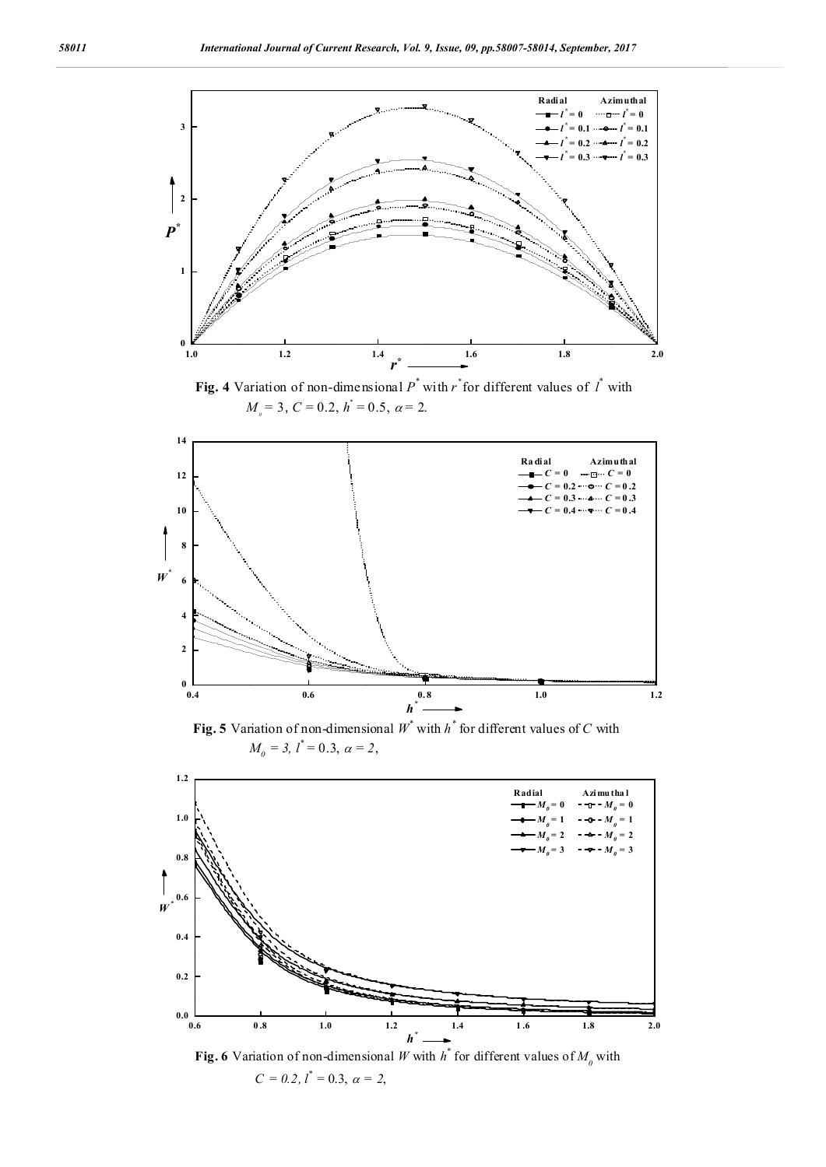

**Fig. 4** Variation of non-dimensional  $P^*$  with  $r^*$  for different values of  $I^*$  with  $M_{\text{o}} = 3$ ,  $C = 0.2$ ,  $h^* = 0.5$ ,  $\alpha = 2$ .



**Fig. 5** Variation of non-dimensional  $W^*$  with  $h^*$  for different values of C with  $M_0 = 3$ ,  $l^* = 0.3$ ,  $\alpha = 2$ ,



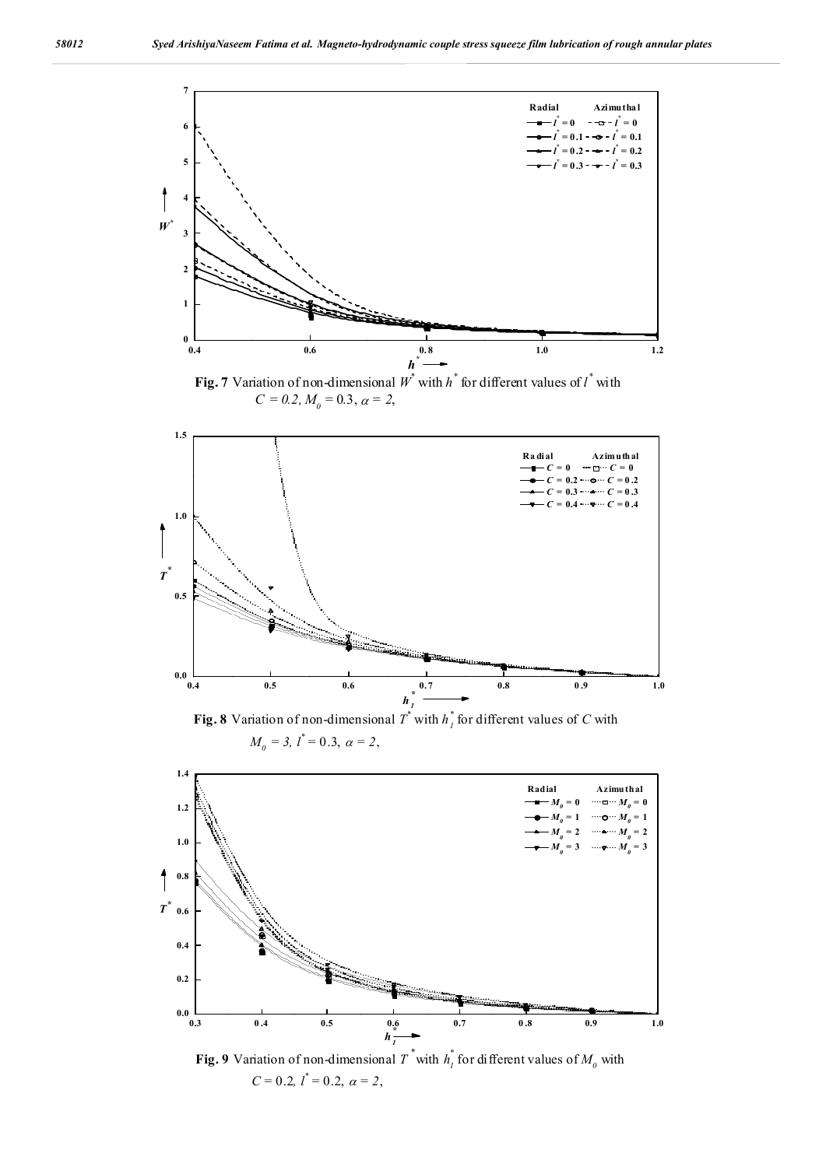

**Fig. 7** Variation of non-dimensional  $W^*$  with  $h^*$  for different values of  $l^*$  with  $C = 0.2, M<sub>0</sub> = 0.3, \alpha = 2,$ 



 $M_0 = 3, l^* = 0.3, \alpha = 2,$ 



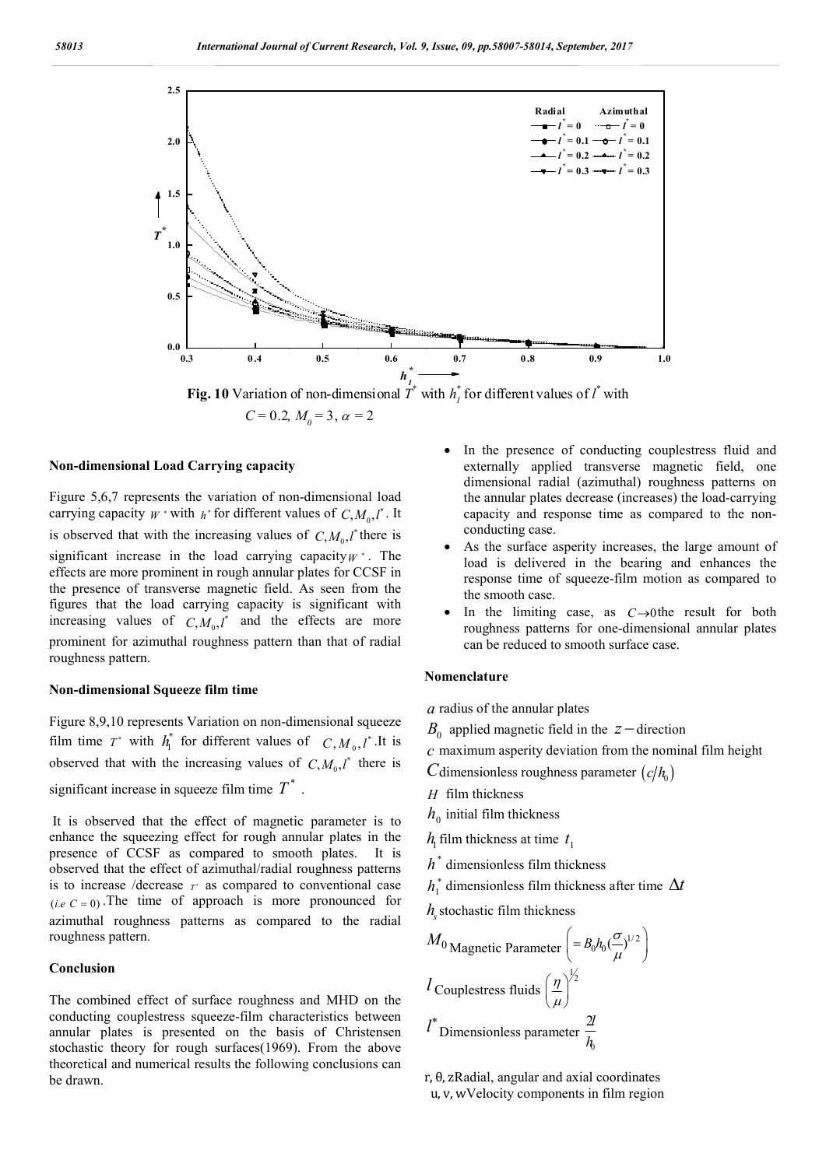

 $C = 0.2, M_0 = 3, \alpha = 2$ 

#### **Non-dimensional Load Carrying capacity**

Figure 5,6,7 represents the variation of non-dimensional load carrying capacity  $W^*$  with  $h^*$  for different values of  $C, M_0, l^*$ . It is observed that with the increasing values of  $C, M_0, l^*$  there is significant increase in the load carrying capacity*W* . The effects are more prominent in rough annular plates for CCSF in the presence of transverse magnetic field. As seen from the figures that the load carrying capacity is significant with increasing values of  $C, M_0, l^*$  and the effects are more prominent for azimuthal roughness pattern than that of radial roughness pattern.

# **Non-dimensional Squeeze film time**

Figure 8,9,10 represents Variation on non-dimensional squeeze film time  $T^*$  with  $h_1^*$  for different values of  $C, M_0, l^*$ .It is observed that with the increasing values of  $C, M_0, l^*$  there is significant increase in squeeze film time  $T^*$ .

It is observed that the effect of magnetic parameter is to enhance the squeezing effect for rough annular plates in the presence of CCSF as compared to smooth plates. It is observed that the effect of azimuthal/radial roughness patterns is to increase /decrease  $T^*$  as compared to conventional case  $(i.e C = 0)$ . The time of approach is more pronounced for azimuthal roughness patterns as compared to the radial roughness pattern.

## **Conclusion**

The combined effect of surface roughness and MHD on the conducting couplestress squeeze-film characteristics between annular plates is presented on the basis of Christensen stochastic theory for rough surfaces(1969). From the above theoretical and numerical results the following conclusions can be drawn.

- In the presence of conducting couplestress fluid and externally applied transverse magnetic field, one dimensional radial (azimuthal) roughness patterns on the annular plates decrease (increases) the load-carrying capacity and response time as compared to the nonconducting case.
- As the surface asperity increases, the large amount of load is delivered in the bearing and enhances the response time of squeeze-film motion as compared to the smooth case.
- In the limiting case, as  $C\rightarrow$ 0the result for both roughness patterns for one-dimensional annular plates can be reduced to smooth surface case.

# **Nomenclature**

*a* radius of the annular plates

 $B_0$  applied magnetic field in the  $z$  -direction

*c* maximum asperity deviation from the nominal film height

*C* dimensionless roughness parameter  $(c/h_0)$ 

- *H* film thickness
- $h_0$  initial film thickness

 $h_1$  film thickness at time  $t_1$ 

- $h^*$  dimensionless film thickness
- $h_1^*$  dimensionless film thickness after time  $\Delta t$
- $h<sub>s</sub>$  stochastic film thickness

$$
M_0
$$
Magnetic Parameter  $\left(= B_0 h_0 \left(\frac{\sigma}{\mu}\right)^{1/2}\right)$   
 $l$  Couplestress fluids  $\left(\frac{\eta}{\mu}\right)^{\frac{1}{2}}$   
 $l^*$  Dimensions parameter  $\frac{2l}{h_0}$ 

r, θ, zRadial, angular and axial coordinates u, v, wVelocity components in film region